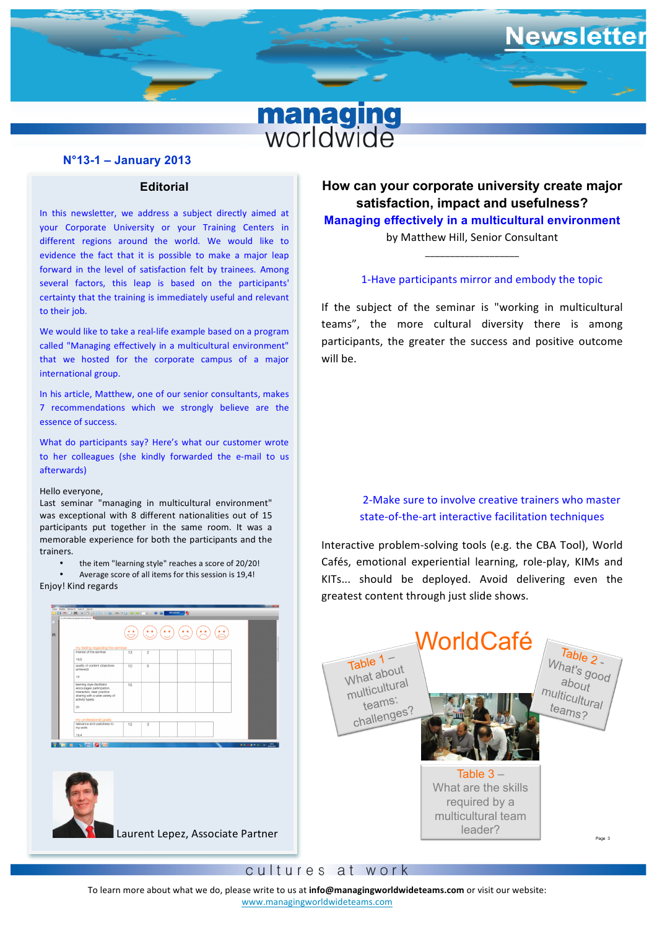

## **N°13-1 – January 2013**

# **Editorial**

**STARBOON THE REST WEEN THE CONSUMED TO WHERE IS MADE TO MAPLE THE** In this newsletter, we address a subject directly aimed at your Corporate University or your Training Centers in different regions around the world. We would like to evidence the fact that it is possible to make a major leap several factors, this leap is based on the participants' certainty that the training is immediately useful and relevant to their job.

called "Managing effectively in a multicultural environment" **figures for the dependent computer of all images** We would like to take a real-life example based on a program that we hosted for the corporate campus of a major international group.

In his article, Matthew, one of our senior consultants, makes 7 recommendations which we strongly believe are the essence of success.

What do participants say? Here's what our customer wrote to her colleagues (she kindly forwarded the e-mail to us afterwards) 

#### Hello everyone,

Last seminar "managing in multicultural environment" was exceptional with 8 different nationalities out of 15 participants put together in the same room. It was a memorable experience for both the participants and the trainers.

the item "learning style" reaches a score of 20/20!

Average score of all items for this session is 19.4!

Enjoy! Kind regards

| 121129-Synthias des Questionnaires après pel 100 | 191 Conglete Special Edition<br>Tichiar - Modifier - Afficher 20 - Dutile (T) - Alde 20<br><b>BRONNOPREGING GOEN GO COMMENT</b> |    |                |  |  | <b><i><u>CHOMES</u></i></b> |
|--------------------------------------------------|---------------------------------------------------------------------------------------------------------------------------------|----|----------------|--|--|-----------------------------|
| 88                                               |                                                                                                                                 |    |                |  |  |                             |
|                                                  | my feeling regarding the seminar<br>interest of the seminar                                                                     | 13 | $\overline{2}$ |  |  |                             |
| 19.6<br>achieved)                                | quality of content (objectives                                                                                                  | 10 | 5              |  |  |                             |
| 19<br>activity types)<br>20                      | learning style (facilitator<br>encourages participation,<br>interaction, best practice<br>sharing with a wide variety of        | 15 |                |  |  |                             |
| my work                                          | my professional goals<br>relevance and usefulness to                                                                            | 12 | 3              |  |  |                             |
| 19,4                                             |                                                                                                                                 |    |                |  |  |                             |
| <b>Bobelo</b>                                    |                                                                                                                                 |    |                |  |  | <b>NAORFORD MS</b>          |
|                                                  |                                                                                                                                 |    |                |  |  |                             |

**How can your corporate university create major satisfaction, impact and usefulness?**

wsletter

**Managing effectively in a multicultural environment**

by Matthew Hill, Senior Consultant \_\_\_\_\_\_\_\_\_\_\_\_\_\_\_\_\_\_\_

### 1-Have participants mirror and embody the topic

If the subject of the seminar is "working in multicultural teams", the more cultural diversity there is among participants, the greater the success and positive outcome will be.

# 2-Make sure to involve creative trainers who master state-of-the-art interactive facilitation techniques

Interactive problem-solving tools (e.g. the CBA Tool), World Cafés, emotional experiential learning, role-play, KIMs and greatest content through just slide shows. KITs... should be deployed. Avoid delivering even the



## cultures at work